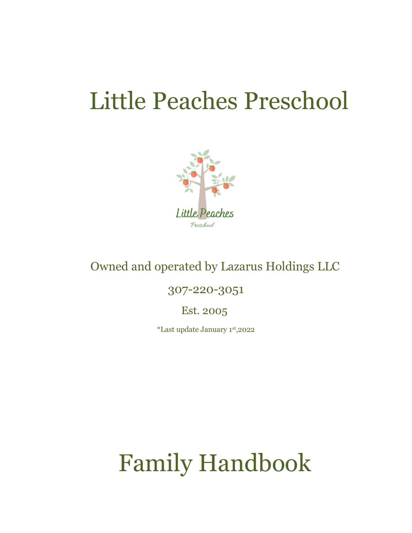# Little Peaches Preschool



## Owned and operated by Lazarus Holdings LLC

### 307-220-3051

Est. 2005

\*Last update January 1st,2022

# Family Handbook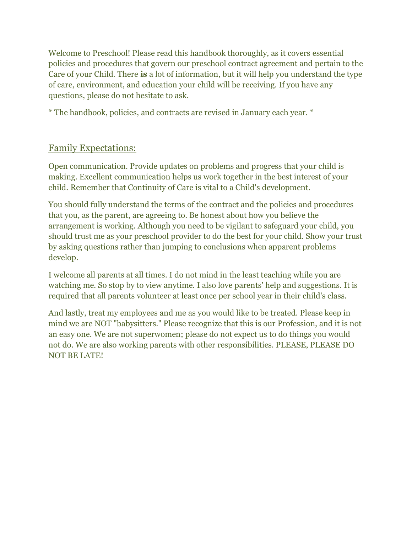Welcome to Preschool! Please read this handbook thoroughly, as it covers essential policies and procedures that govern our preschool contract agreement and pertain to the Care of your Child. There **is** a lot of information, but it will help you understand the type of care, environment, and education your child will be receiving. If you have any questions, please do not hesitate to ask.

\* The handbook, policies, and contracts are revised in January each year. \*

#### Family Expectations:

Open communication. Provide updates on problems and progress that your child is making. Excellent communication helps us work together in the best interest of your child. Remember that Continuity of Care is vital to a Child's development.

You should fully understand the terms of the contract and the policies and procedures that you, as the parent, are agreeing to. Be honest about how you believe the arrangement is working. Although you need to be vigilant to safeguard your child, you should trust me as your preschool provider to do the best for your child. Show your trust by asking questions rather than jumping to conclusions when apparent problems develop.

I welcome all parents at all times. I do not mind in the least teaching while you are watching me. So stop by to view anytime. I also love parents' help and suggestions. It is required that all parents volunteer at least once per school year in their child's class.

And lastly, treat my employees and me as you would like to be treated. Please keep in mind we are NOT "babysitters." Please recognize that this is our Profession, and it is not an easy one. We are not superwomen; please do not expect us to do things you would not do. We are also working parents with other responsibilities. PLEASE, PLEASE DO NOT BE LATE!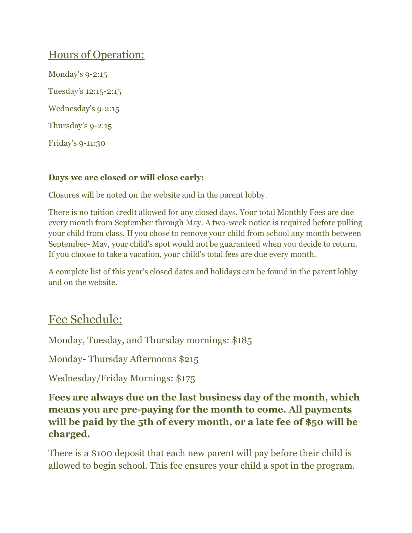## Hours of Operation:

Monday's 9-2:15 Tuesday's 12:15-2:15 Wednesday's 9-2:15 Thursday's 9-2:15 Friday's 9-11:30

#### **Days we are closed or will close early:**

Closures will be noted on the website and in the parent lobby.

There is no tuition credit allowed for any closed days. Your total Monthly Fees are due every month from September through May. A two-week notice is required before pulling your child from class. If you chose to remove your child from school any month between September- May, your child's spot would not be guaranteed when you decide to return. If you choose to take a vacation, your child's total fees are due every month.

A complete list of this year's closed dates and holidays can be found in the parent lobby and on the website.

## Fee Schedule:

Monday, Tuesday, and Thursday mornings: \$185

Monday- Thursday Afternoons \$215

Wednesday/Friday Mornings: \$175

**Fees are always due on the last business day of the month, which means you are pre-paying for the month to come. All payments will be paid by the 5th of every month, or a late fee of \$50 will be charged.**

There is a \$100 deposit that each new parent will pay before their child is allowed to begin school. This fee ensures your child a spot in the program.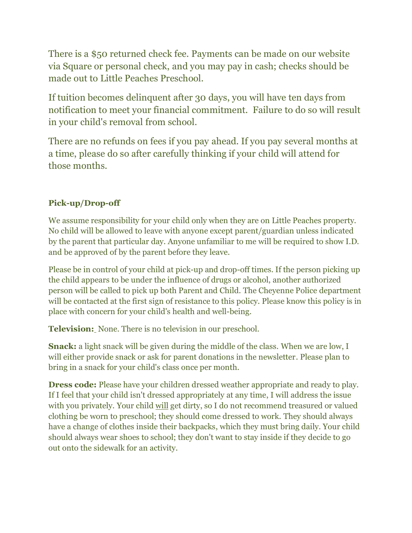There is a \$50 returned check fee. Payments can be made on our website via Square or personal check, and you may pay in cash; checks should be made out to Little Peaches Preschool.

If tuition becomes delinquent after 30 days, you will have ten days from notification to meet your financial commitment. Failure to do so will result in your child's removal from school.

There are no refunds on fees if you pay ahead. If you pay several months at a time, please do so after carefully thinking if your child will attend for those months.

#### **Pick-up/Drop-off**

We assume responsibility for your child only when they are on Little Peaches property. No child will be allowed to leave with anyone except parent/guardian unless indicated by the parent that particular day. Anyone unfamiliar to me will be required to show I.D. and be approved of by the parent before they leave.

Please be in control of your child at pick-up and drop-off times. If the person picking up the child appears to be under the influence of drugs or alcohol, another authorized person will be called to pick up both Parent and Child. The Cheyenne Police department will be contacted at the first sign of resistance to this policy. Please know this policy is in place with concern for your child's health and well-being.

**Television:** None. There is no television in our preschool.

**Snack:** a light snack will be given during the middle of the class. When we are low, I will either provide snack or ask for parent donations in the newsletter. Please plan to bring in a snack for your child's class once per month.

**Dress code:** Please have your children dressed weather appropriate and ready to play. If I feel that your child isn't dressed appropriately at any time, I will address the issue with you privately. Your child will get dirty, so I do not recommend treasured or valued clothing be worn to preschool; they should come dressed to work. They should always have a change of clothes inside their backpacks, which they must bring daily. Your child should always wear shoes to school; they don't want to stay inside if they decide to go out onto the sidewalk for an activity.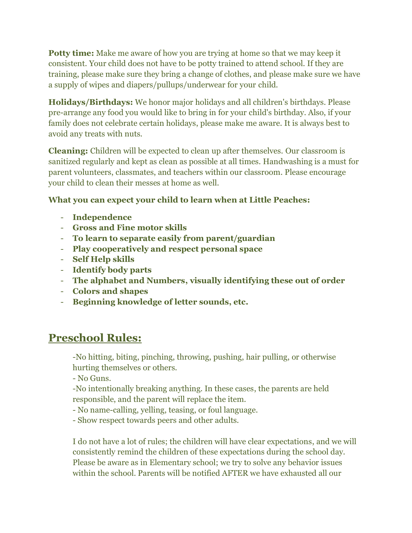**Potty time:** Make me aware of how you are trying at home so that we may keep it consistent. Your child does not have to be potty trained to attend school. If they are training, please make sure they bring a change of clothes, and please make sure we have a supply of wipes and diapers/pullups/underwear for your child.

**Holidays/Birthdays:** We honor major holidays and all children's birthdays. Please pre-arrange any food you would like to bring in for your child's birthday. Also, if your family does not celebrate certain holidays, please make me aware. It is always best to avoid any treats with nuts.

**Cleaning:** Children will be expected to clean up after themselves. Our classroom is sanitized regularly and kept as clean as possible at all times. Handwashing is a must for parent volunteers, classmates, and teachers within our classroom. Please encourage your child to clean their messes at home as well.

#### **What you can expect your child to learn when at Little Peaches:**

- **Independence**
- **Gross and Fine motor skills**
- **To learn to separate easily from parent/guardian**
- **Play cooperatively and respect personal space**
- **Self Help skills**
- **Identify body parts**
- **The alphabet and Numbers, visually identifying these out of order**
- **Colors and shapes**
- **Beginning knowledge of letter sounds, etc.**

## **Preschool Rules:**

-No hitting, biting, pinching, throwing, pushing, hair pulling, or otherwise hurting themselves or others.

- No Guns.

-No intentionally breaking anything. In these cases, the parents are held responsible, and the parent will replace the item.

- No name-calling, yelling, teasing, or foul language.

- Show respect towards peers and other adults.

I do not have a lot of rules; the children will have clear expectations, and we will consistently remind the children of these expectations during the school day. Please be aware as in Elementary school; we try to solve any behavior issues within the school. Parents will be notified AFTER we have exhausted all our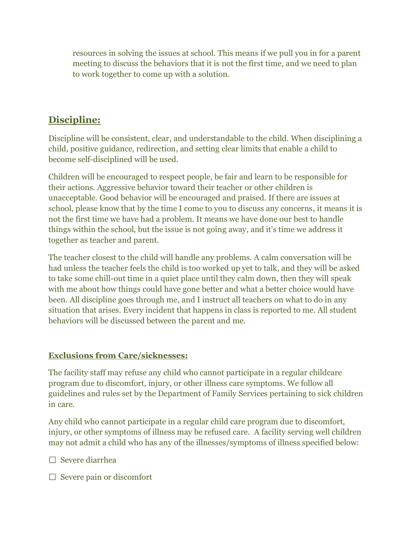resources in solving the issues at school. This means if we pull you in for a parent meeting to discuss the behaviors that it is not the first time, and we need to plan to work together to come up with a solution.

### **Discipline:**

Discipline will be consistent, clear, and understandable to the child. When disciplining a child, positive guidance, redirection, and setting clear limits that enable a child to become self-disciplined will be used.

Children will be encouraged to respect people, be fair and learn to be responsible for their actions. Aggressive behavior toward their teacher or other children is unacceptable. Good behavior will be encouraged and praised. If there are issues at school, please know that by the time I come to you to discuss any concerns, it means it is not the first time we have had a problem. It means we have done our best to handle things within the school, but the issue is not going away, and it's time we address it together as teacher and parent.

The teacher closest to the child will handle any problems. A calm conversation will be had unless the teacher feels the child is too worked up yet to talk, and they will be asked to take some chill-out time in a quiet place until they calm down, then they will speak with me about how things could have gone better and what a better choice would have been. All discipline goes through me, and I instruct all teachers on what to do in any situation that arises. Every incident that happens in class is reported to me. All student behaviors will be discussed between the parent and me.

#### **Exclusions from Care/sicknesses:**

The facility staff may refuse any child who cannot participate in a regular childcare program due to discomfort, injury, or other illness care symptoms. We follow all guidelines and rules set by the Department of Family Services pertaining to sick children in care.

Any child who cannot participate in a regular child care program due to discomfort, injury, or other symptoms of illness may be refused care. A facility serving well children may not admit a child who has any of the illnesses/symptoms of illness specified below:

 $\Box$  Severe diarrhea

 $\Box$  Severe pain or discomfort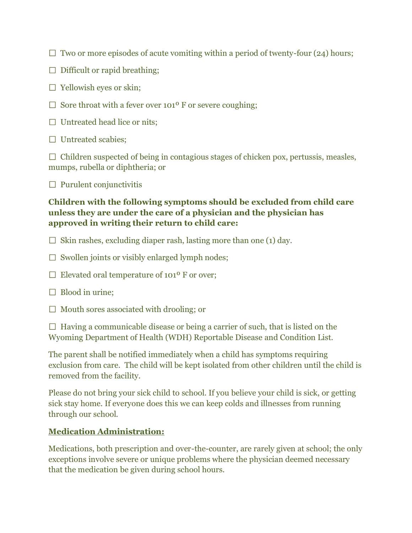- $\Box$  Two or more episodes of acute vomiting within a period of twenty-four (24) hours;
- $\Box$  Difficult or rapid breathing;
- $\Box$  Yellowish eyes or skin;
- $\Box$  Sore throat with a fever over 101<sup>o</sup> F or severe coughing;
- $\Box$  Untreated head lice or nits;
- $\Box$  Untreated scabies;

 $\Box$  Children suspected of being in contagious stages of chicken pox, pertussis, measles, mumps, rubella or diphtheria; or

 $\Box$  Purulent conjunctivitis

#### **Children with the following symptoms should be excluded from child care unless they are under the care of a physician and the physician has approved in writing their return to child care:**

- $\Box$  Skin rashes, excluding diaper rash, lasting more than one (1) day.
- $\Box$  Swollen joints or visibly enlarged lymph nodes;
- $\Box$  Elevated oral temperature of 101<sup>o</sup> F or over;
- $\Box$  Blood in urine;
- $\Box$  Mouth sores associated with drooling; or

 $\Box$  Having a communicable disease or being a carrier of such, that is listed on the Wyoming Department of Health (WDH) Reportable Disease and Condition List.

The parent shall be notified immediately when a child has symptoms requiring exclusion from care. The child will be kept isolated from other children until the child is removed from the facility.

Please do not bring your sick child to school. If you believe your child is sick, or getting sick stay home. If everyone does this we can keep colds and illnesses from running through our school.

#### **Medication Administration:**

Medications, both prescription and over-the-counter, are rarely given at school; the only exceptions involve severe or unique problems where the physician deemed necessary that the medication be given during school hours.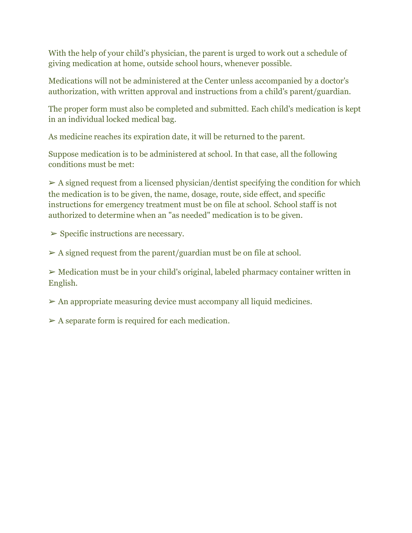With the help of your child's physician, the parent is urged to work out a schedule of giving medication at home, outside school hours, whenever possible.

Medications will not be administered at the Center unless accompanied by a doctor's authorization, with written approval and instructions from a child's parent/guardian.

The proper form must also be completed and submitted. Each child's medication is kept in an individual locked medical bag.

As medicine reaches its expiration date, it will be returned to the parent.

Suppose medication is to be administered at school. In that case, all the following conditions must be met:

 $\triangleright$  A signed request from a licensed physician/dentist specifying the condition for which the medication is to be given, the name, dosage, route, side effect, and specific instructions for emergency treatment must be on file at school. School staff is not authorized to determine when an "as needed" medication is to be given.

 $\triangleright$  Specific instructions are necessary.

 $\triangleright$  A signed request from the parent/guardian must be on file at school.

➢ Medication must be in your child's original, labeled pharmacy container written in English.

 $\triangleright$  An appropriate measuring device must accompany all liquid medicines.

 $\triangleright$  A separate form is required for each medication.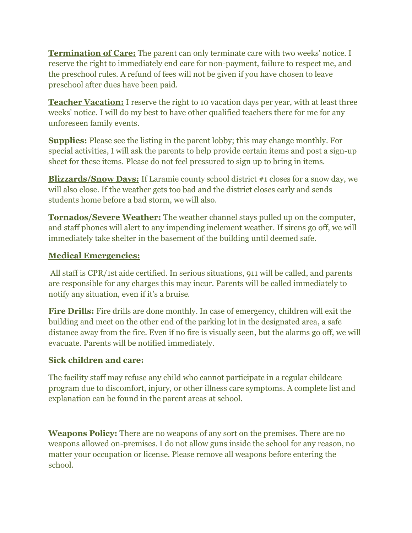**Termination of Care:** The parent can only terminate care with two weeks' notice. I reserve the right to immediately end care for non-payment, failure to respect me, and the preschool rules. A refund of fees will not be given if you have chosen to leave preschool after dues have been paid.

**Teacher Vacation:** I reserve the right to 10 vacation days per year, with at least three weeks' notice. I will do my best to have other qualified teachers there for me for any unforeseen family events.

**Supplies:** Please see the listing in the parent lobby; this may change monthly. For special activities, I will ask the parents to help provide certain items and post a sign-up sheet for these items. Please do not feel pressured to sign up to bring in items.

**Blizzards/Snow Days:** If Laramie county school district #1 closes for a snow day, we will also close. If the weather gets too bad and the district closes early and sends students home before a bad storm, we will also.

**Tornados/Severe Weather:** The weather channel stays pulled up on the computer, and staff phones will alert to any impending inclement weather. If sirens go off, we will immediately take shelter in the basement of the building until deemed safe.

#### **Medical Emergencies:**

All staff is CPR/1st aide certified. In serious situations, 911 will be called, and parents are responsible for any charges this may incur. Parents will be called immediately to notify any situation, even if it's a bruise.

**Fire Drills:** Fire drills are done monthly. In case of emergency, children will exit the building and meet on the other end of the parking lot in the designated area, a safe distance away from the fire. Even if no fire is visually seen, but the alarms go off, we will evacuate. Parents will be notified immediately.

#### **Sick children and care:**

The facility staff may refuse any child who cannot participate in a regular childcare program due to discomfort, injury, or other illness care symptoms. A complete list and explanation can be found in the parent areas at school.

**Weapons Policy:** There are no weapons of any sort on the premises. There are no weapons allowed on-premises. I do not allow guns inside the school for any reason, no matter your occupation or license. Please remove all weapons before entering the school.